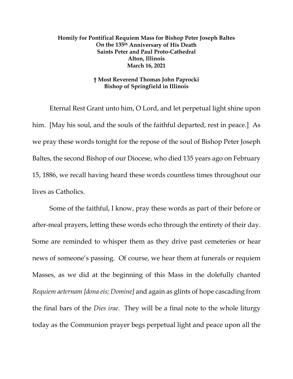## **Homily for Pontifical Requiem Mass for Bishop Peter Joseph Baltes On the 135th Anniversary of His Death Saints Peter and Paul Proto-Cathedral Alton, Illinois March 16, 2021**

## **† Most Reverend Thomas John Paprocki Bishop of Springfield in Illinois**

Eternal Rest Grant unto him, O Lord, and let perpetual light shine upon him. [May his soul, and the souls of the faithful departed, rest in peace.] As we pray these words tonight for the repose of the soul of Bishop Peter Joseph Baltes, the second Bishop of our Diocese, who died 135 years ago on February 15, 1886, we recall having heard these words countless times throughout our lives as Catholics.

Some of the faithful, I know, pray these words as part of their before or after-meal prayers, letting these words echo through the entirety of their day. Some are reminded to whisper them as they drive past cemeteries or hear news of someone's passing. Of course, we hear them at funerals or requiem Masses, as we did at the beginning of this Mass in the dolefully chanted *Requiem aeternam [dona eis; Domine]* and again as glints of hope cascading from the final bars of the *Dies irae*. They will be a final note to the whole liturgy today as the Communion prayer begs perpetual light and peace upon all the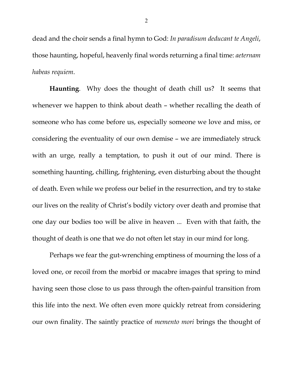dead and the choir sends a final hymn to God: *In paradisum deducant te Angeli*, those haunting, hopeful, heavenly final words returning a final time: *aeternam habeas requiem*.

**Haunting**. Why does the thought of death chill us? It seems that whenever we happen to think about death – whether recalling the death of someone who has come before us, especially someone we love and miss, or considering the eventuality of our own demise – we are immediately struck with an urge, really a temptation, to push it out of our mind. There is something haunting, chilling, frightening, even disturbing about the thought of death. Even while we profess our belief in the resurrection, and try to stake our lives on the reality of Christ's bodily victory over death and promise that one day our bodies too will be alive in heaven ... Even with that faith, the thought of death is one that we do not often let stay in our mind for long.

Perhaps we fear the gut-wrenching emptiness of mourning the loss of a loved one, or recoil from the morbid or macabre images that spring to mind having seen those close to us pass through the often-painful transition from this life into the next. We often even more quickly retreat from considering our own finality. The saintly practice of *memento mori* brings the thought of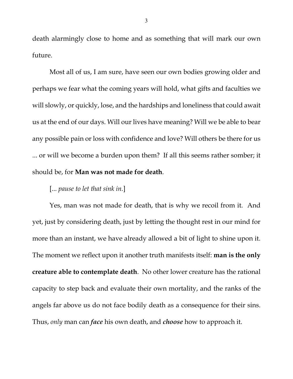death alarmingly close to home and as something that will mark our own future.

Most all of us, I am sure, have seen our own bodies growing older and perhaps we fear what the coming years will hold, what gifts and faculties we will slowly, or quickly, lose, and the hardships and loneliness that could await us at the end of our days. Will our lives have meaning? Will we be able to bear any possible pain or loss with confidence and love? Will others be there for us ... or will we become a burden upon them? If all this seems rather somber; it should be, for **Man was not made for death**.

## [... *pause to let that sink in.*]

Yes, man was not made for death, that is why we recoil from it. And yet, just by considering death, just by letting the thought rest in our mind for more than an instant, we have already allowed a bit of light to shine upon it. The moment we reflect upon it another truth manifests itself: **man is the only creature able to contemplate death**. No other lower creature has the rational capacity to step back and evaluate their own mortality, and the ranks of the angels far above us do not face bodily death as a consequence for their sins. Thus, *only* man can *face* his own death, and *choose* how to approach it.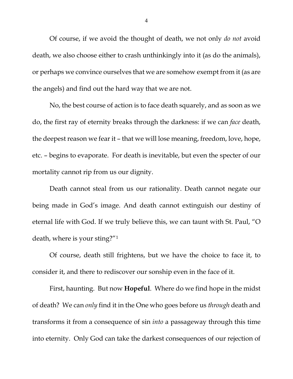Of course, if we avoid the thought of death, we not only *do not* avoid death, we also choose either to crash unthinkingly into it (as do the animals), or perhaps we convince ourselves that we are somehow exempt from it (as are the angels) and find out the hard way that we are not.

No, the best course of action is to face death squarely, and as soon as we do, the first ray of eternity breaks through the darkness: if we can *face* death, the deepest reason we fear it – that we will lose meaning, freedom, love, hope, etc. – begins to evaporate. For death is inevitable, but even the specter of our mortality cannot rip from us our dignity.

Death cannot steal from us our rationality. Death cannot negate our being made in God's image. And death cannot extinguish our destiny of eternal life with God. If we truly believe this, we can taunt with St. Paul, "O death, where is your sting?"[1](#page-8-0)

Of course, death still frightens, but we have the choice to face it, to consider it, and there to rediscover our sonship even in the face of it.

First, haunting. But now **Hopeful**. Where do we find hope in the midst of death? We can *only* find it in the One who goes before us *through* death and transforms it from a consequence of sin *into* a passageway through this time into eternity. Only God can take the darkest consequences of our rejection of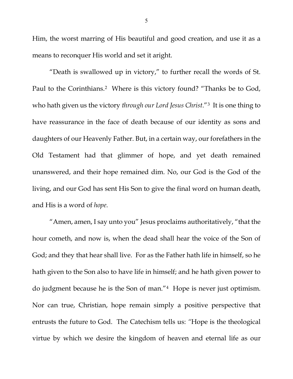Him, the worst marring of His beautiful and good creation, and use it as a means to reconquer His world and set it aright.

"Death is swallowed up in victory," to further recall the words of St. Paul to the Corinthians.<sup>[2](#page-8-1)</sup> Where is this victory found? "Thanks be to God, who hath given us the victory *through our Lord Jesus Christ*."[3](#page-8-2) It is one thing to have reassurance in the face of death because of our identity as sons and daughters of our Heavenly Father. But, in a certain way, our forefathers in the Old Testament had that glimmer of hope, and yet death remained unanswered, and their hope remained dim. No, our God is the God of the living, and our God has sent His Son to give the final word on human death, and His is a word of *hope.* 

"Amen, amen, I say unto you" Jesus proclaims authoritatively, "that the hour cometh, and now is, when the dead shall hear the voice of the Son of God; and they that hear shall live. For as the Father hath life in himself, so he hath given to the Son also to have life in himself; and he hath given power to do judgment because he is the Son of man."[4](#page-8-3) Hope is never just optimism. Nor can true, Christian, hope remain simply a positive perspective that entrusts the future to God. The Catechism tells us: *"*Hope is the theological virtue by which we desire the kingdom of heaven and eternal life as our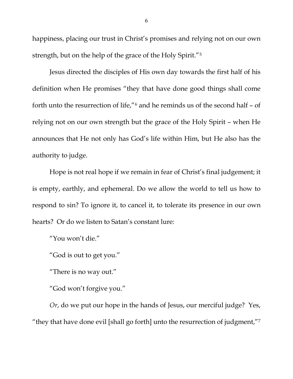happiness, placing our trust in Christ's promises and relying not on our own strength, but on the help of the grace of the Holy Spirit."[5](#page-8-4)

Jesus directed the disciples of His own day towards the first half of his definition when He promises "they that have done good things shall come forth unto the resurrection of life,"[6](#page-8-5) and he reminds us of the second half – of relying not on our own strength but the grace of the Holy Spirit – when He announces that He not only has God's life within Him, but He also has the authority to judge.

Hope is not real hope if we remain in fear of Christ's final judgement; it is empty, earthly, and ephemeral. Do we allow the world to tell us how to respond to sin? To ignore it, to cancel it, to tolerate its presence in our own hearts? Or do we listen to Satan's constant lure:

"You won't die."

"God is out to get you."

"There is no way out."

"God won't forgive you."

*Or*, do we put our hope in the hands of Jesus, our merciful judge? Yes, "they that have done evil [shall go forth] unto the resurrection of judgment,"[7](#page-8-6)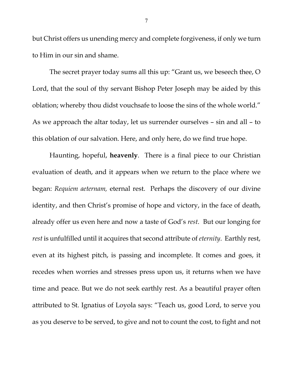but Christ offers us unending mercy and complete forgiveness, if only we turn to Him in our sin and shame.

The secret prayer today sums all this up: "Grant us, we beseech thee, O Lord, that the soul of thy servant Bishop Peter Joseph may be aided by this oblation; whereby thou didst vouchsafe to loose the sins of the whole world." As we approach the altar today, let us surrender ourselves – sin and all – to this oblation of our salvation. Here, and only here, do we find true hope.

Haunting, hopeful, **heavenly**. There is a final piece to our Christian evaluation of death, and it appears when we return to the place where we began: *Requiem aeternam,* eternal rest. Perhaps the discovery of our divine identity, and then Christ's promise of hope and victory, in the face of death, already offer us even here and now a taste of God's *rest*. But our longing for *rest* is unfulfilled until it acquires that second attribute of *eternity*. Earthly rest, even at its highest pitch, is passing and incomplete. It comes and goes, it recedes when worries and stresses press upon us, it returns when we have time and peace. But we do not seek earthly rest. As a beautiful prayer often attributed to St. Ignatius of Loyola says: "Teach us, good Lord, to serve you as you deserve to be served, to give and not to count the cost, to fight and not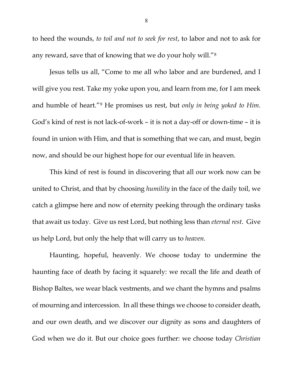to heed the wounds, *to toil and not to seek for rest*, to labor and not to ask for any reward, save that of knowing that we do your holy will."[8](#page-8-7)

Jesus tells us all, "Come to me all who labor and are burdened, and I will give you rest. Take my yoke upon you, and learn from me, for I am meek and humble of heart."[9](#page-8-8) He promises us rest, but *only in being yoked to Him*. God's kind of rest is not lack-of-work – it is not a day-off or down-time – it is found in union with Him, and that is something that we can, and must, begin now, and should be our highest hope for our eventual life in heaven.

This kind of rest is found in discovering that all our work now can be united to Christ, and that by choosing *humility* in the face of the daily toil, we catch a glimpse here and now of eternity peeking through the ordinary tasks that await us today. Give us rest Lord, but nothing less than *eternal rest*. Give us help Lord, but only the help that will carry us to *heaven.*

Haunting, hopeful, heavenly. We choose today to undermine the haunting face of death by facing it squarely: we recall the life and death of Bishop Baltes, we wear black vestments, and we chant the hymns and psalms of mourning and intercession. In all these things we choose to consider death, and our own death, and we discover our dignity as sons and daughters of God when we do it. But our choice goes further: we choose today *Christian*